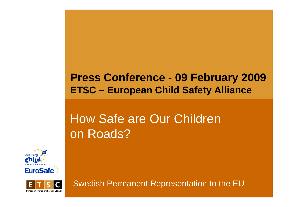#### **Press Conference - 09 February 2009 2009 ETSC – European Child Safety Alliance**

## How Safe are Our Children on Roads?





Swedish Permanent Representation to the EU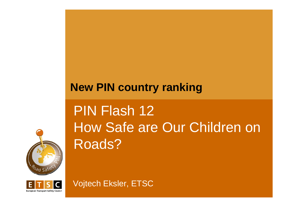### **New PIN country ranking**



# PIN Flash 12 How Safe are Our Children on Roads?



Vojtech Eksler, ETSC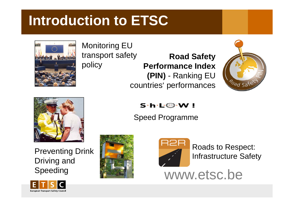## **Introduction to ETSC**



Monitoring EU  $transport safety$ policy

**Road Safety Performance Index ( ) PIN** - Rankin g EU countries' performances





Preventing Drink **Roads** Roads to Res Driving and S peedin







pect: Infrastructure Safety

peeding **the www.etsc.be** 

#### $S\cdot h\cdot L\circledcirc\cdot W$  !

Speed Programme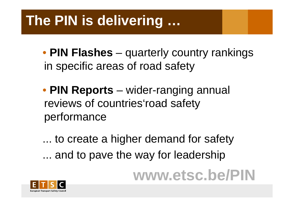## **The PIN is delivering …**

- **PIN Flas es h** –– quarterly country rankings in specific areas of road safety
- **PIN Reports** wider-ranging annual reviews of countries' road safety performance

... to create a higher demand for safety ... and to pave the way for leadership

**www etsc b.etsc .be/PIN**

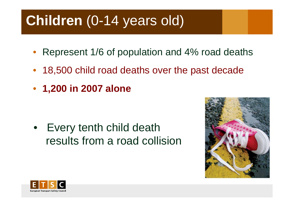## **Children** (0-14 years old)

- $\bullet$ Represent 1/6 of population and 4% road deaths
- 18,500 child road deaths over the past decade
- **1,200 in 2007 alone**

• Every tenth child death results from a road collision



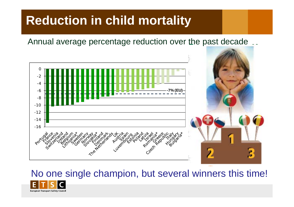## **Reduction in child mortality**

Annual average percentage reduction over the past decade



### No one single champion, but several winners this time!

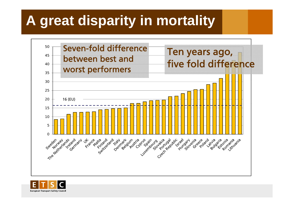## **A great disparity in mortality**



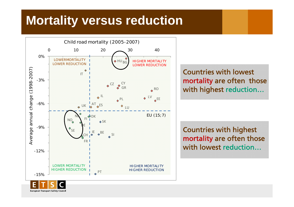## **Mortality versus reduction**



**European Transport Safety Council** 

Countries with lowest mortality are often those

mortality are often those with lowest reduction.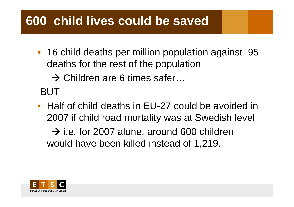## **600 child lives could be saved**

• 16 child deaths per million population against 95 deaths for the rest of the population

 $\rightarrow$  Children are 6 times safer... . . . . . . . . .

BUT

• Half of child deaths in EU-27 could be avoided in 2007 if child road mortality was at Swedish level

 $\rightarrow$  i.e. for 2007 alone, around 600 children would have been killed instead of 1,219.

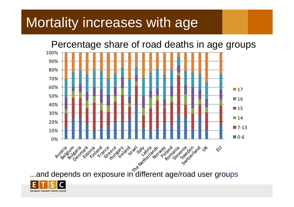## Mortality increases with age

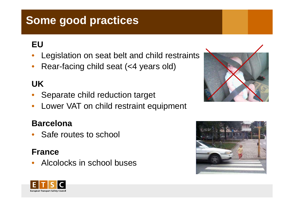### **Some good practices**

### **EU**

- •Legislation on seat belt and child restraints
- •Rear-facing child seat (<4 years old)

### **UK**

- •Separate child reduction target
- •• Lower VAT on child restraint equipment

#### **Barcelona**

•Safe routes to school

#### **France**

•Alcolocks in school buses





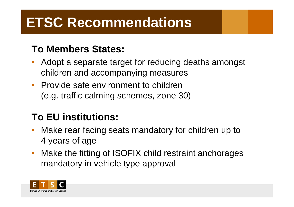# **ETSC Recommendations**

### **To Members States:**

- • Adopt a separate target for reducing deaths amongst children and accompanying measures
- Provide safe environment to children (e.g. traffic calming schemes, zone 30)

### **To EU institutions:**

- •• Make rear facing seats mandatory for children up to 4 years of age
- •• Make the fitting of ISOFIX child restraint anchorages mandatory in vehicle type approval

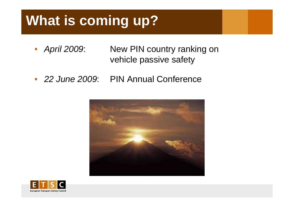# **What is coming up?**

- April 2009: **New PIN country ranking on** vehicle passive safety
- *22 June 2009* : PIN Annual Conference